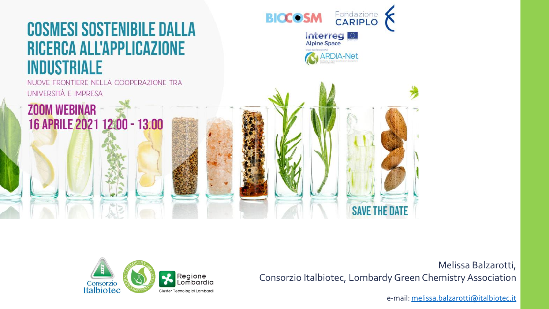#### **COSMESI SOSTENIBILE DALLA** RICERCA ALL'APPLICAZIONE **INDUSTRIALE**

NUOVE FRONTIERE NELLA COOPERAZIONE TRA UNIVERSITÀ E IMPRESA

16 APRILE 2021 12:00 - 13:00

**ZOOM WEBINAR** 





Melissa Balzarotti, Consorzio Italbiotec, Lombardy Green ChemistryAssociation

**SAVE THE DAT** 

e-mail: [melissa.balzarotti@italbiotec.it](mailto:melissa.balzarotti@italbiotec.it)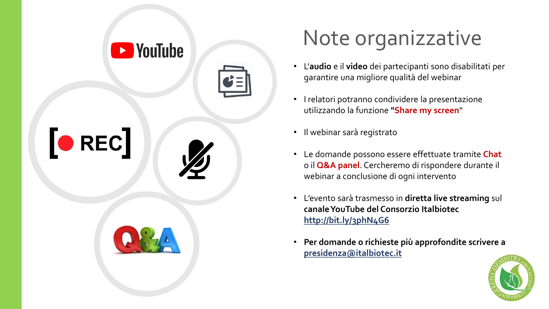







# Note organizzative

- L'**audio** e il **video** dei partecipanti sono disabilitati per garantire una migliore qualità del webinar
- I relatori potranno condividere la presentazione utilizzando la funzione **"Share my screen**"
- Il webinar sarà registrato
- Le domande possono essere effettuate tramite **Chat** o il **Q&A panel**. Cercheremo di rispondere durante il webinar a conclusione di ogni intervento
- L'evento sarà trasmesso in **diretta live streaming** sul **canaleYouTube del Consorzio Italbiotec <http://bit.ly/3phN4G6>**
- **Per domande o richieste più approfondite scrivere a [presidenza@italbiotec.it](mailto:segreteria@chimicaverdelombardia.it)**

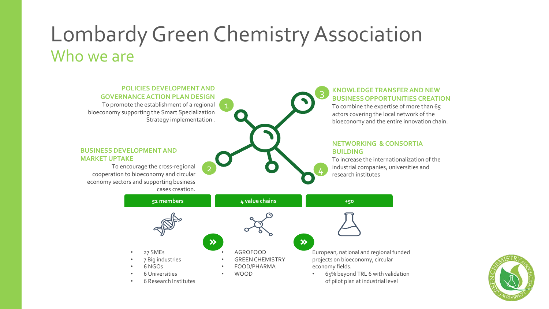### Lombardy Green Chemistry Association Who we are



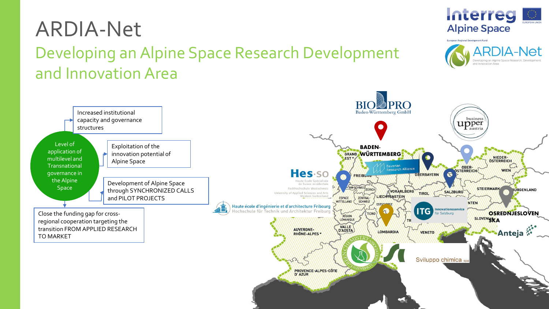## ARDIA-Net

Developing an Alpine Space Research Development and Innovation Area

**Interreg Alpine Space**